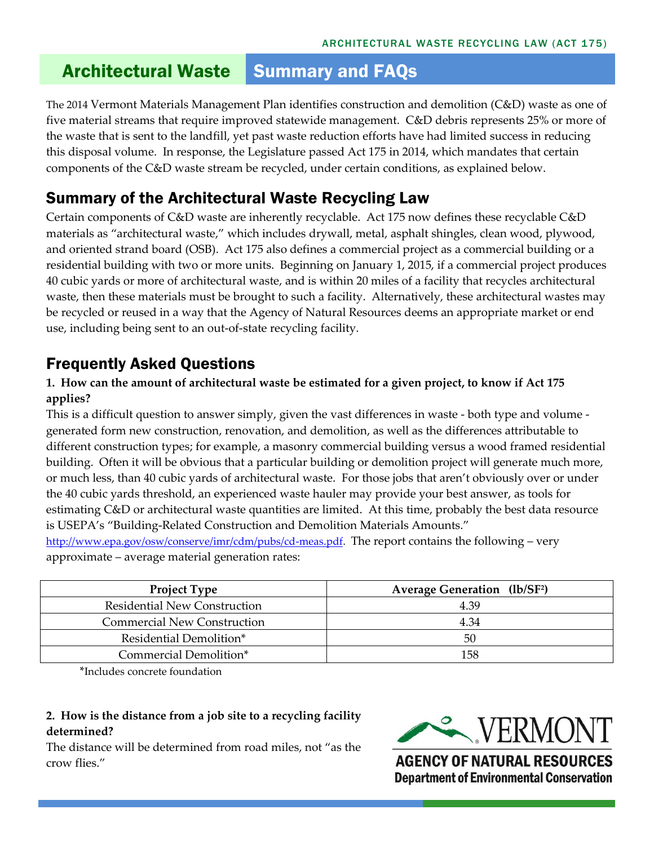# **Architectural Waste Summary and FAQs**

The 2014 Vermont Materials Management Plan identifies construction and demolition (C&D) waste as one of five material streams that require improved statewide management. C&D debris represents 25% or more of the waste that is sent to the landfill, yet past waste reduction efforts have had limited success in reducing this disposal volume. In response, the Legislature passed Act 175 in 2014, which mandates that certain components of the C&D waste stream be recycled, under certain conditions, as explained below.

### Summary of the Architectural Waste Recycling Law

Certain components of C&D waste are inherently recyclable. Act 175 now defines these recyclable C&D materials as "architectural waste," which includes drywall, metal, asphalt shingles, clean wood, plywood, and oriented strand board (OSB). Act 175 also defines a commercial project as a commercial building or a residential building with two or more units. Beginning on January 1, 2015, if a commercial project produces 40 cubic yards or more of architectural waste, and is within 20 miles of a facility that recycles architectural waste, then these materials must be brought to such a facility. Alternatively, these architectural wastes may be recycled or reused in a way that the Agency of Natural Resources deems an appropriate market or end use, including being sent to an out-of-state recycling facility.

## Frequently Asked Questions

#### **1. How can the amount of architectural waste be estimated for a given project, to know if Act 175 applies?**

This is a difficult question to answer simply, given the vast differences in waste - both type and volume generated form new construction, renovation, and demolition, as well as the differences attributable to different construction types; for example, a masonry commercial building versus a wood framed residential building. Often it will be obvious that a particular building or demolition project will generate much more, or much less, than 40 cubic yards of architectural waste. For those jobs that aren't obviously over or under the 40 cubic yards threshold, an experienced waste hauler may provide your best answer, as tools for estimating C&D or architectural waste quantities are limited. At this time, probably the best data resource is USEPA's "Building-Related Construction and Demolition Materials Amounts." [http://www.epa.gov/osw/conserve/imr/cdm/pubs/cd-meas.pdf.](http://www.epa.gov/osw/conserve/imr/cdm/pubs/cd-meas.pdf) The report contains the following – very

approximate – average material generation rates:

| <b>Project Type</b>                 | <b>Average Generation</b> (lb/SF <sup>2</sup> ) |
|-------------------------------------|-------------------------------------------------|
| <b>Residential New Construction</b> | 4.39                                            |
| <b>Commercial New Construction</b>  | 4.34                                            |
| Residential Demolition*             | 50                                              |
| Commercial Demolition*              | 158                                             |

\*Includes concrete foundation

#### **2. How is the distance from a job site to a recycling facility determined?**

The distance will be determined from road miles, not "as the crow flies."